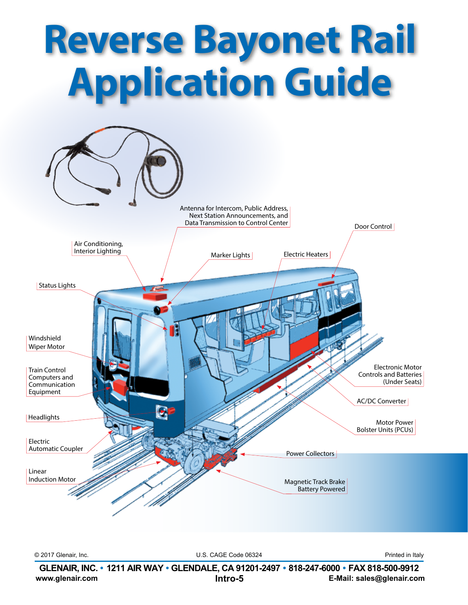

**www.glenair.com E-Mail: sales@glenair.com GLENAIR, INC. • 1211 AIR WAY • GLENDALE, CA 91201-2497 • 818-247-6000 • FAX 818-500-9912 Intro-5**